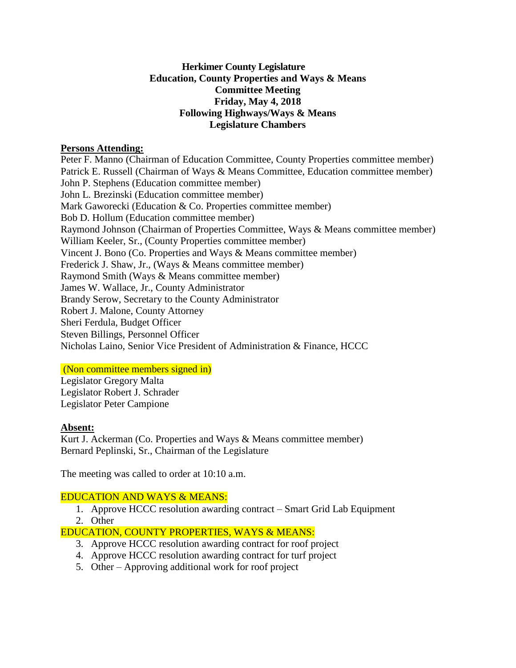### **Herkimer County Legislature Education, County Properties and Ways & Means Committee Meeting Friday, May 4, 2018 Following Highways/Ways & Means Legislature Chambers**

#### **Persons Attending:**

Peter F. Manno (Chairman of Education Committee, County Properties committee member) Patrick E. Russell (Chairman of Ways & Means Committee, Education committee member) John P. Stephens (Education committee member) John L. Brezinski (Education committee member) Mark Gaworecki (Education & Co. Properties committee member) Bob D. Hollum (Education committee member) Raymond Johnson (Chairman of Properties Committee, Ways & Means committee member) William Keeler, Sr., (County Properties committee member) Vincent J. Bono (Co. Properties and Ways & Means committee member) Frederick J. Shaw, Jr., (Ways & Means committee member) Raymond Smith (Ways & Means committee member) James W. Wallace, Jr., County Administrator Brandy Serow, Secretary to the County Administrator Robert J. Malone, County Attorney Sheri Ferdula, Budget Officer Steven Billings, Personnel Officer Nicholas Laino, Senior Vice President of Administration & Finance, HCCC

## (Non committee members signed in)

Legislator Gregory Malta Legislator Robert J. Schrader Legislator Peter Campione

## **Absent:**

Kurt J. Ackerman (Co. Properties and Ways & Means committee member) Bernard Peplinski, Sr., Chairman of the Legislature

The meeting was called to order at 10:10 a.m.

## EDUCATION AND WAYS & MEANS:

- 1. Approve HCCC resolution awarding contract Smart Grid Lab Equipment
- 2. Other

# EDUCATION, COUNTY PROPERTIES, WAYS & MEANS:

- 3. Approve HCCC resolution awarding contract for roof project
- 4. Approve HCCC resolution awarding contract for turf project
- 5. Other Approving additional work for roof project